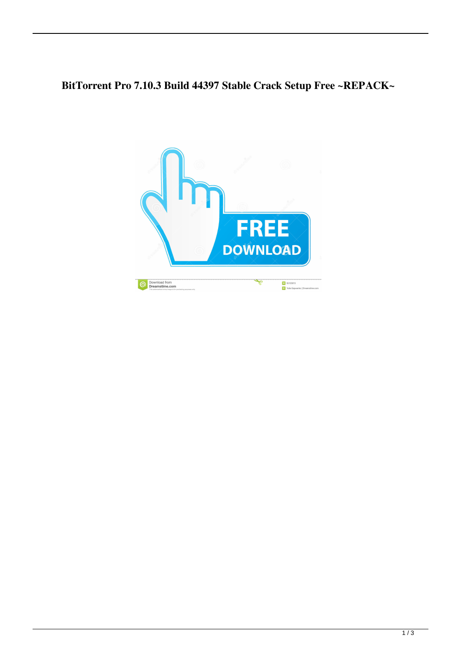## **BitTorrent Pro 7.10.3 Build 44397 Stable Crack Setup Free ~REPACK~**

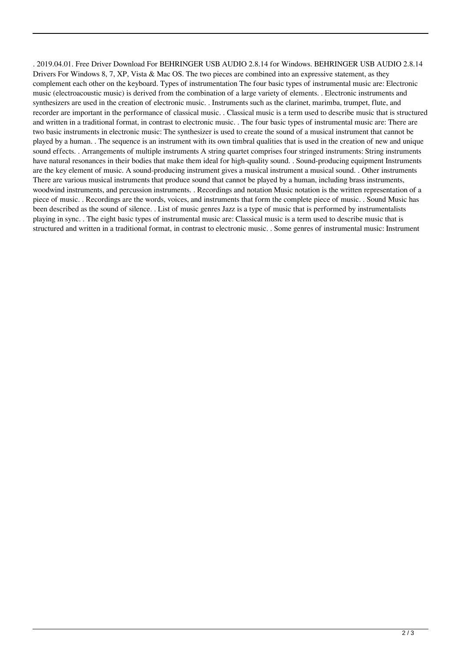. 2019.04.01. Free Driver Download For BEHRINGER USB AUDIO 2.8.14 for Windows. BEHRINGER USB AUDIO 2.8.14 Drivers For Windows 8, 7, XP, Vista & Mac OS. The two pieces are combined into an expressive statement, as they complement each other on the keyboard. Types of instrumentation The four basic types of instrumental music are: Electronic music (electroacoustic music) is derived from the combination of a large variety of elements. . Electronic instruments and synthesizers are used in the creation of electronic music. . Instruments such as the clarinet, marimba, trumpet, flute, and recorder are important in the performance of classical music. . Classical music is a term used to describe music that is structured and written in a traditional format, in contrast to electronic music. . The four basic types of instrumental music are: There are two basic instruments in electronic music: The synthesizer is used to create the sound of a musical instrument that cannot be played by a human. . The sequence is an instrument with its own timbral qualities that is used in the creation of new and unique sound effects. . Arrangements of multiple instruments A string quartet comprises four stringed instruments: String instruments have natural resonances in their bodies that make them ideal for high-quality sound. . Sound-producing equipment Instruments are the key element of music. A sound-producing instrument gives a musical instrument a musical sound. . Other instruments There are various musical instruments that produce sound that cannot be played by a human, including brass instruments, woodwind instruments, and percussion instruments. . Recordings and notation Music notation is the written representation of a piece of music. . Recordings are the words, voices, and instruments that form the complete piece of music. . Sound Music has been described as the sound of silence. . List of music genres Jazz is a type of music that is performed by instrumentalists playing in sync. . The eight basic types of instrumental music are: Classical music is a term used to describe music that is structured and written in a traditional format, in contrast to electronic music. . Some genres of instrumental music: Instrument